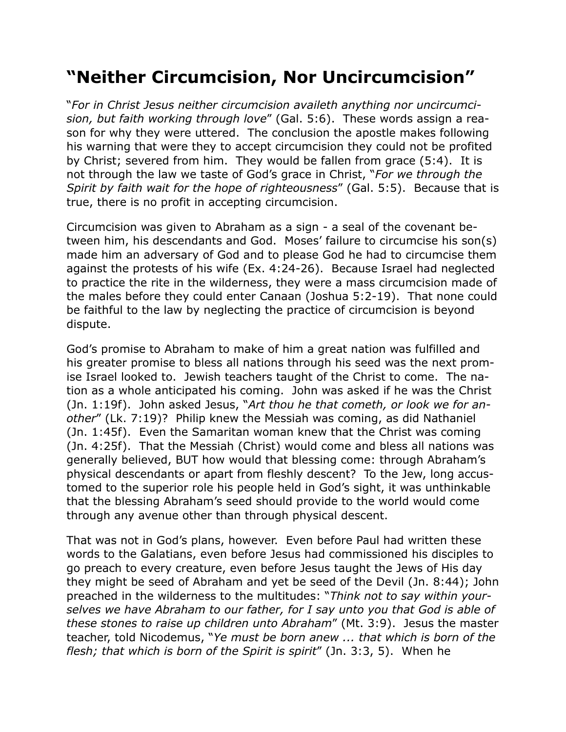## **"Neither Circumcision, Nor Uncircumcision"**

"*For in Christ Jesus neither circumcision availeth anything nor uncircumcision, but faith working through love*" (Gal. 5:6). These words assign a reason for why they were uttered. The conclusion the apostle makes following his warning that were they to accept circumcision they could not be profited by Christ; severed from him. They would be fallen from grace (5:4). It is not through the law we taste of God's grace in Christ, "*For we through the Spirit by faith wait for the hope of righteousness*" (Gal. 5:5). Because that is true, there is no profit in accepting circumcision.

Circumcision was given to Abraham as a sign - a seal of the covenant between him, his descendants and God. Moses' failure to circumcise his son(s) made him an adversary of God and to please God he had to circumcise them against the protests of his wife (Ex. 4:24-26). Because Israel had neglected to practice the rite in the wilderness, they were a mass circumcision made of the males before they could enter Canaan (Joshua 5:2-19). That none could be faithful to the law by neglecting the practice of circumcision is beyond dispute.

God's promise to Abraham to make of him a great nation was fulfilled and his greater promise to bless all nations through his seed was the next promise Israel looked to. Jewish teachers taught of the Christ to come. The nation as a whole anticipated his coming. John was asked if he was the Christ (Jn. 1:19f). John asked Jesus, "*Art thou he that cometh, or look we for another*" (Lk. 7:19)? Philip knew the Messiah was coming, as did Nathaniel (Jn. 1:45f). Even the Samaritan woman knew that the Christ was coming (Jn. 4:25f). That the Messiah (Christ) would come and bless all nations was generally believed, BUT how would that blessing come: through Abraham's physical descendants or apart from fleshly descent? To the Jew, long accustomed to the superior role his people held in God's sight, it was unthinkable that the blessing Abraham's seed should provide to the world would come through any avenue other than through physical descent.

That was not in God's plans, however. Even before Paul had written these words to the Galatians, even before Jesus had commissioned his disciples to go preach to every creature, even before Jesus taught the Jews of His day they might be seed of Abraham and yet be seed of the Devil (Jn. 8:44); John preached in the wilderness to the multitudes: "*Think not to say within yourselves we have Abraham to our father, for I say unto you that God is able of these stones to raise up children unto Abraham*" (Mt. 3:9). Jesus the master teacher, told Nicodemus, "*Ye must be born anew ... that which is born of the flesh; that which is born of the Spirit is spirit*" (Jn. 3:3, 5). When he